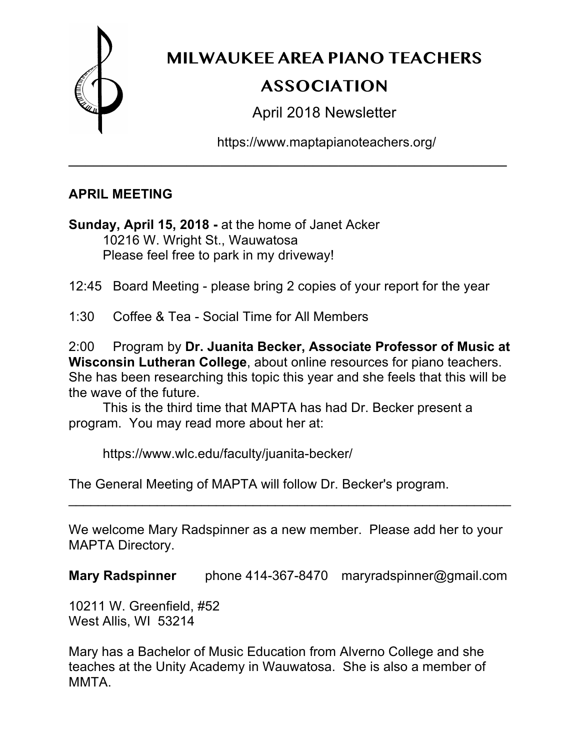

# **MILWAUKEE AREA PIANO TEACHERS ASSOCIATION**

April 2018 Newsletter

https://www.maptapianoteachers.org/

## **APRIL MEETING**

**Sunday, April 15, 2018 -** at the home of Janet Acker 10216 W. Wright St., Wauwatosa Please feel free to park in my driveway!

12:45 Board Meeting - please bring 2 copies of your report for the year

\_\_\_\_\_\_\_\_\_\_\_\_\_\_\_\_\_\_\_\_\_\_\_\_\_\_\_\_\_\_\_\_\_\_\_\_\_\_\_\_\_\_\_\_\_\_\_\_\_\_\_\_

1:30 Coffee & Tea - Social Time for All Members

2:00 Program by **Dr. Juanita Becker, Associate Professor of Music at Wisconsin Lutheran College**, about online resources for piano teachers. She has been researching this topic this year and she feels that this will be the wave of the future.

This is the third time that MAPTA has had Dr. Becker present a program. You may read more about her at:

https://www.wlc.edu/faculty/juanita-becker/

The General Meeting of MAPTA will follow Dr. Becker's program.

We welcome Mary Radspinner as a new member. Please add her to your MAPTA Directory.

\_\_\_\_\_\_\_\_\_\_\_\_\_\_\_\_\_\_\_\_\_\_\_\_\_\_\_\_\_\_\_\_\_\_\_\_\_\_\_\_\_\_\_\_\_\_\_\_\_\_\_\_\_\_\_\_\_\_\_\_

**Mary Radspinner** phone 414-367-8470 maryradspinner@gmail.com

10211 W. Greenfield, #52 West Allis, WI 53214

Mary has a Bachelor of Music Education from Alverno College and she teaches at the Unity Academy in Wauwatosa. She is also a member of MMTA.